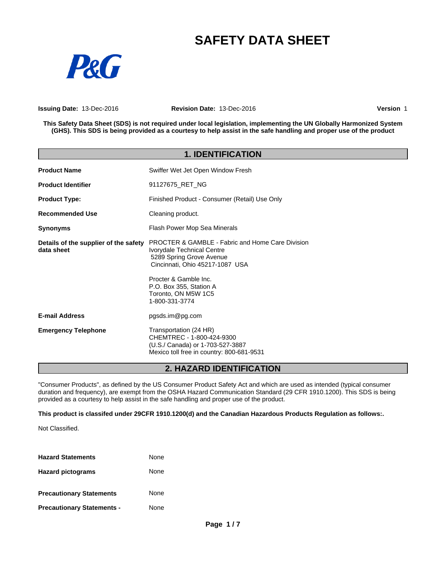# **SAFETY DATA SHEET**



**Issuing Date:** 13-Dec-2016 **Revision Date:** 13-Dec-2016 **Version** 1

This Safety Data Sheet (SDS) is not required under local legislation, implementing the UN Globally Harmonized System (GHS). This SDS is being provided as a courtesy to help assist in the safe handling and proper use of the product

| <b>1. IDENTIFICATION</b>                            |                                                                                                                                                                                                                                                       |  |
|-----------------------------------------------------|-------------------------------------------------------------------------------------------------------------------------------------------------------------------------------------------------------------------------------------------------------|--|
| <b>Product Name</b>                                 | Swiffer Wet Jet Open Window Fresh                                                                                                                                                                                                                     |  |
| <b>Product Identifier</b>                           | 91127675 RET NG                                                                                                                                                                                                                                       |  |
| <b>Product Type:</b>                                | Finished Product - Consumer (Retail) Use Only                                                                                                                                                                                                         |  |
| <b>Recommended Use</b>                              | Cleaning product.                                                                                                                                                                                                                                     |  |
| <b>Synonyms</b>                                     | Flash Power Mop Sea Minerals                                                                                                                                                                                                                          |  |
| Details of the supplier of the safety<br>data sheet | <b>PROCTER &amp; GAMBLE - Fabric and Home Care Division</b><br>Ivorydale Technical Centre<br>5289 Spring Grove Avenue<br>Cincinnati, Ohio 45217-1087 USA<br>Procter & Gamble Inc.<br>P.O. Box 355, Station A<br>Toronto, ON M5W 1C5<br>1-800-331-3774 |  |
| <b>E-mail Address</b>                               | pgsds.im@pg.com                                                                                                                                                                                                                                       |  |
| <b>Emergency Telephone</b>                          | Transportation (24 HR)<br>CHEMTREC - 1-800-424-9300<br>(U.S./ Canada) or 1-703-527-3887<br>Mexico toll free in country: 800-681-9531                                                                                                                  |  |

### **2. HAZARD IDENTIFICATION**

"Consumer Products", as defined by the US Consumer Product Safety Act and which are used as intended (typical consumer duration and frequency), are exempt from the OSHA Hazard Communication Standard (29 CFR 1910.1200). This SDS is being provided as a courtesy to help assist in the safe handling and proper use of the product.

**This product is classifed under 29CFR 1910.1200(d) and the Canadian Hazardous Products Regulation as follows:.**

Not Classified.

| <b>Hazard Statements</b>          | None |
|-----------------------------------|------|
| <b>Hazard pictograms</b>          | None |
| <b>Precautionary Statements</b>   | None |
| <b>Precautionary Statements -</b> | None |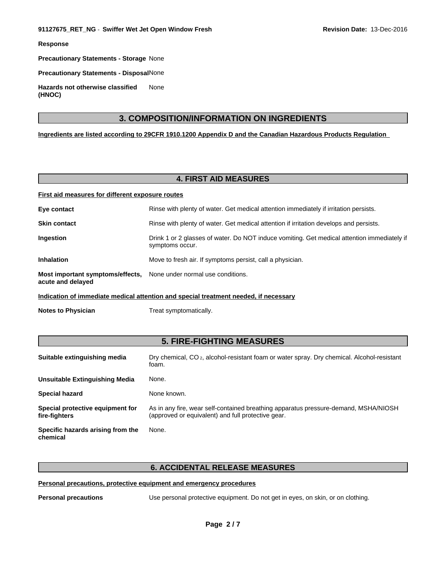**Response**

**Precautionary Statements - Storage** None

**Precautionary Statements - Disposal**None

**Hazards not otherwise classified (HNOC)** None

### **3. COMPOSITION/INFORMATION ON INGREDIENTS**

**Ingredients are listed according to 29CFR 1910.1200 Appendix D and the Canadian Hazardous Products Regulation**

### **4. FIRST AID MEASURES**

| First aid measures for different exposure routes                                        |                                                                                                                |  |
|-----------------------------------------------------------------------------------------|----------------------------------------------------------------------------------------------------------------|--|
| Eye contact                                                                             | Rinse with plenty of water. Get medical attention immediately if irritation persists.                          |  |
| <b>Skin contact</b>                                                                     | Rinse with plenty of water. Get medical attention if irritation develops and persists.                         |  |
| Ingestion                                                                               | Drink 1 or 2 glasses of water. Do NOT induce vomiting. Get medical attention immediately if<br>symptoms occur. |  |
| <b>Inhalation</b>                                                                       | Move to fresh air. If symptoms persist, call a physician.                                                      |  |
| Most important symptoms/effects, None under normal use conditions.<br>acute and delayed |                                                                                                                |  |
| Indication of immediate medical attention and special treatment needed, if necessary    |                                                                                                                |  |

**Notes to Physician** Treat symptomatically.

### **5. FIRE-FIGHTING MEASURES**

| Suitable extinguishing media                      | Dry chemical, CO <sub>2</sub> , alcohol-resistant foam or water spray. Dry chemical. Alcohol-resistant<br>foam.                           |
|---------------------------------------------------|-------------------------------------------------------------------------------------------------------------------------------------------|
| Unsuitable Extinguishing Media                    | None.                                                                                                                                     |
| <b>Special hazard</b>                             | None known.                                                                                                                               |
| Special protective equipment for<br>fire-fighters | As in any fire, wear self-contained breathing apparatus pressure-demand, MSHA/NIOSH<br>(approved or equivalent) and full protective gear. |
| Specific hazards arising from the<br>chemical     | None.                                                                                                                                     |

### **6. ACCIDENTAL RELEASE MEASURES**

#### **Personal precautions, protective equipment and emergency procedures**

**Personal precautions** Use personal protective equipment. Do not get in eyes, on skin, or on clothing.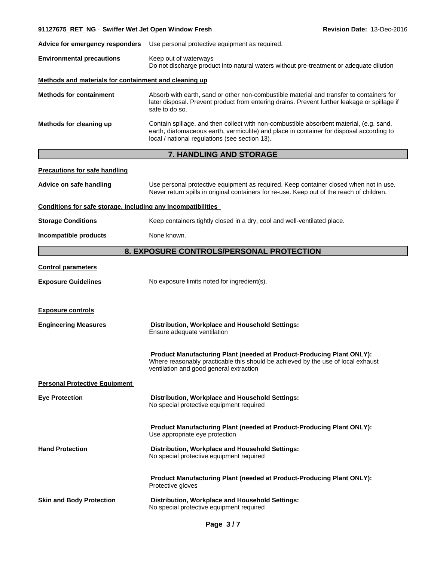## **Advice for emergency responders** Use personal protective equipment as required.**Environmental precautions** Keep out of waterways Do not discharge product into natural waters without pre-treatment or adequate dilution **Methods and materials for containment and cleaning up Methods for containment** Absorb with earth, sand or other non-combustible material and transfer to containers for later disposal. Prevent product from entering drains. Prevent further leakage or spillage if safe to do so. **Methods for cleaning up** Contain spillage, and then collect with non-combustible absorbent material, (e.g. sand, earth, diatomaceous earth, vermiculite) and place in container for disposal according to local / national regulations (see section 13).

**91127675\_RET\_NG** - **Swiffer Wet Jet Open Window Fresh Revision Date:** 13-Dec-2016

### **7. HANDLING AND STORAGE**

| <b>Precautions for safe handling</b> |                                                                                                                                                                                                      |
|--------------------------------------|------------------------------------------------------------------------------------------------------------------------------------------------------------------------------------------------------|
| Advice on safe handling              | Use personal protective equipment as required. Keep container closed when not in use.<br>Never return spills in original containers for re-use. Keep out of the reach of children.                   |
|                                      | Conditions for safe storage, including any incompatibilities                                                                                                                                         |
| <b>Storage Conditions</b>            | Keep containers tightly closed in a dry, cool and well-ventilated place.                                                                                                                             |
| Incompatible products                | None known.                                                                                                                                                                                          |
|                                      | 8. EXPOSURE CONTROLS/PERSONAL PROTECTION                                                                                                                                                             |
| <b>Control parameters</b>            |                                                                                                                                                                                                      |
| <b>Exposure Guidelines</b>           | No exposure limits noted for ingredient(s).                                                                                                                                                          |
| <b>Exposure controls</b>             |                                                                                                                                                                                                      |
| <b>Engineering Measures</b>          | Distribution, Workplace and Household Settings:<br>Ensure adequate ventilation                                                                                                                       |
|                                      | Product Manufacturing Plant (needed at Product-Producing Plant ONLY):<br>Where reasonably practicable this should be achieved by the use of local exhaust<br>ventilation and good general extraction |
| <b>Personal Protective Equipment</b> |                                                                                                                                                                                                      |
| <b>Eye Protection</b>                | Distribution, Workplace and Household Settings:<br>No special protective equipment required                                                                                                          |
|                                      | Product Manufacturing Plant (needed at Product-Producing Plant ONLY):<br>Use appropriate eye protection                                                                                              |
| <b>Hand Protection</b>               | Distribution, Workplace and Household Settings:<br>No special protective equipment required                                                                                                          |
|                                      | Product Manufacturing Plant (needed at Product-Producing Plant ONLY):<br>Protective gloves                                                                                                           |
| <b>Skin and Body Protection</b>      | Distribution, Workplace and Household Settings:<br>No special protective equipment required                                                                                                          |
|                                      |                                                                                                                                                                                                      |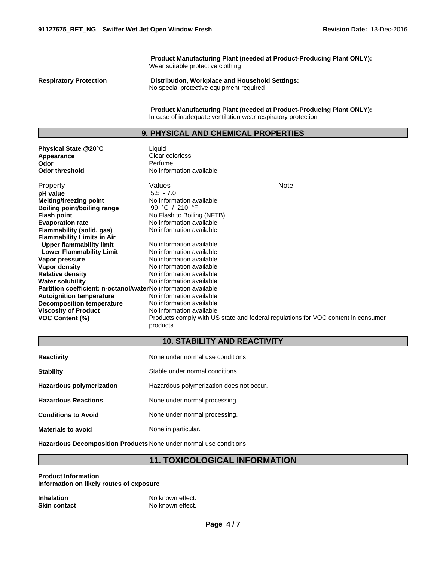**Product Manufacturing Plant (needed at Product-Producing Plant ONLY):** Wear suitable protective clothing

**Respiratory Protection Distribution, Workplace and Household Settings:** No special protective equipment required

> **Product Manufacturing Plant (needed at Product-Producing Plant ONLY):** In case of inadequate ventilation wear respiratory protection

### **9. PHYSICAL AND CHEMICAL PROPERTIES**

| Physical State @20°C<br>Appearance<br>Odor<br><b>Odor threshold</b>   | Liquid<br>Clear colorless<br>Perfume<br>No information available                               |      |
|-----------------------------------------------------------------------|------------------------------------------------------------------------------------------------|------|
| <b>Property</b>                                                       | Values                                                                                         | Note |
| pH value                                                              | $5.5 - 7.0$                                                                                    |      |
| <b>Melting/freezing point</b>                                         | No information available                                                                       |      |
| <b>Boiling point/boiling range</b>                                    | 99 °C / 210 °F                                                                                 |      |
| <b>Flash point</b>                                                    | No Flash to Boiling (NFTB)                                                                     |      |
| <b>Evaporation rate</b>                                               | No information available                                                                       |      |
| Flammability (solid, gas)                                             | No information available                                                                       |      |
| <b>Flammability Limits in Air</b>                                     |                                                                                                |      |
| <b>Upper flammability limit</b>                                       | No information available                                                                       |      |
| <b>Lower Flammability Limit</b>                                       | No information available                                                                       |      |
| Vapor pressure                                                        | No information available                                                                       |      |
| Vapor density                                                         | No information available                                                                       |      |
| <b>Relative density</b>                                               | No information available                                                                       |      |
| <b>Water solubility</b>                                               | No information available                                                                       |      |
| <b>Partition coefficient: n-octanol/waterNo information available</b> |                                                                                                |      |
| <b>Autoignition temperature</b>                                       | No information available                                                                       |      |
| <b>Decomposition temperature</b>                                      | No information available                                                                       |      |
| <b>Viscosity of Product</b>                                           | No information available                                                                       |      |
| <b>VOC Content (%)</b>                                                | Products comply with US state and federal regulations for VOC content in consumer<br>products. |      |

### **10. STABILITY AND REACTIVITY**

| <b>Reactivity</b>               | None under normal use conditions.        |
|---------------------------------|------------------------------------------|
| <b>Stability</b>                | Stable under normal conditions.          |
| <b>Hazardous polymerization</b> | Hazardous polymerization does not occur. |
| <b>Hazardous Reactions</b>      | None under normal processing.            |
| <b>Conditions to Avoid</b>      | None under normal processing.            |
| <b>Materials to avoid</b>       | None in particular.                      |

**Hazardous Decomposition Products** None under normal use conditions.

### **11. TOXICOLOGICAL INFORMATION**

**Product Information Information on likely routes of exposure**

| <b>Inhalation</b>   | No known effect. |
|---------------------|------------------|
| <b>Skin contact</b> | No known effect. |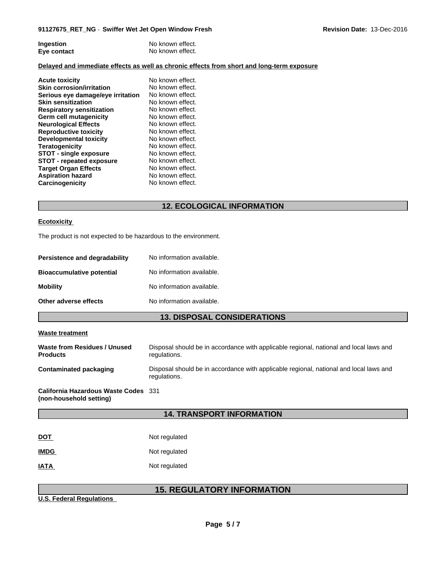| Ingestion   | No known effect. |
|-------------|------------------|
| Eye contact | No known effect. |

#### **Delayed and immediate effects as well as chronic effects from short and long-term exposure**

| <b>Acute toxicity</b><br><b>Skin corrosion/irritation</b> | No known effect.<br>No known effect. |
|-----------------------------------------------------------|--------------------------------------|
| Serious eye damage/eye irritation                         | No known effect.                     |
| <b>Skin sensitization</b>                                 | No known effect.                     |
| <b>Respiratory sensitization</b>                          | No known effect.                     |
| Germ cell mutagenicity                                    | No known effect.                     |
| <b>Neurological Effects</b>                               | No known effect.                     |
| <b>Reproductive toxicity</b>                              | No known effect.                     |
| Developmental toxicity                                    | No known effect.                     |
| <b>Teratogenicity</b>                                     | No known effect.                     |
| <b>STOT - single exposure</b>                             | No known effect.                     |
| <b>STOT - repeated exposure</b>                           | No known effect.                     |
| <b>Target Organ Effects</b>                               | No known effect.                     |
| <b>Aspiration hazard</b>                                  | No known effect.                     |
| Carcinogenicity                                           | No known effect.                     |

### **12. ECOLOGICAL INFORMATION**

#### **Ecotoxicity**

The product is not expected to be hazardous to the environment.

| Persistence and degradability    | No information available. |
|----------------------------------|---------------------------|
| <b>Bioaccumulative potential</b> | No information available. |
| <b>Mobility</b>                  | No information available. |
| Other adverse effects            | No information available. |

### **13. DISPOSAL CONSIDERATIONS**

#### **Waste treatment**

| Waste from Residues / Unused<br><b>Products</b> | Disposal should be in accordance with applicable regional, national and local laws and<br>regulations. |
|-------------------------------------------------|--------------------------------------------------------------------------------------------------------|
| Contaminated packaging                          | Disposal should be in accordance with applicable regional, national and local laws and<br>regulations. |
| California Hazardous Waste Codes 331            |                                                                                                        |

**(non-household setting)**

### **14. TRANSPORT INFORMATION**

| <b>DOT</b>  | Not regulated |
|-------------|---------------|
| <b>IMDG</b> | Not regulated |
| <b>IATA</b> | Not regulated |

### **15. REGULATORY INFORMATION**

**U.S. Federal Regulations**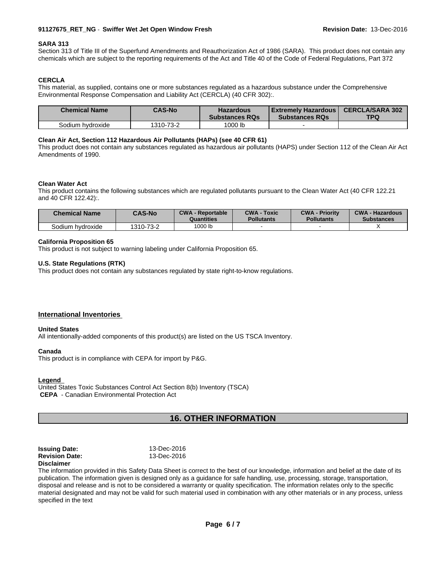#### **91127675\_RET\_NG** - **Swiffer Wet Jet Open Window Fresh Revision Date:** 13-Dec-2016

#### **SARA 313**

Section 313 of Title III of the Superfund Amendments and Reauthorization Act of 1986 (SARA). This product does not contain any chemicals which are subject to the reporting requirements of the Act and Title 40 of the Code of Federal Regulations, Part 372

#### **CERCLA**

This material, as supplied, contains one or more substances regulated as a hazardous substance under the Comprehensive Environmental Response Compensation and Liability Act (CERCLA) (40 CFR 302):.

| <b>Chemical Name</b> | <b>CAS-No</b> | <b>Hazardous</b><br><b>Substances RQs</b> | l Extremelv Hazardous I<br><b>Substances RQs</b> | <b>CERCLA/SARA 302</b><br>TPQ |
|----------------------|---------------|-------------------------------------------|--------------------------------------------------|-------------------------------|
| Sodium hydroxide     | 1310-73-2     | 1000 lb                                   |                                                  |                               |

#### **Clean Air Act,Section 112 Hazardous Air Pollutants (HAPs) (see 40 CFR 61)**

This product does not contain any substances regulated as hazardous air pollutants (HAPS) under Section 112 of the Clean Air Act Amendments of 1990.

#### **Clean Water Act**

This product contains the following substances which are regulated pollutants pursuant to the Clean Water Act (40 CFR 122.21 and 40 CFR 122.42):.

| Chemical Name    | <b>CAS-No</b> | <b>CWA - Reportable</b><br>Quantities | <b>CWA - Toxic</b><br><b>Pollutants</b> | <b>CWA - Priority</b><br><b>Pollutants</b> | <b>CWA - Hazardous</b><br><b>Substances</b> |
|------------------|---------------|---------------------------------------|-----------------------------------------|--------------------------------------------|---------------------------------------------|
| Sodium hvdroxide | 1310-73-2     | 1000 lb                               |                                         |                                            |                                             |

#### **California Proposition 65**

This product is not subject to warning labeling under California Proposition 65.

#### **U.S. State Regulations (RTK)**

This product does not contain any substances regulated by state right-to-know regulations.

#### **International Inventories**

#### **United States**

All intentionally-added components of this product(s) are listed on the US TSCA Inventory.

#### **Canada**

This product is in compliance with CEPA for import by P&G.

#### **Legend**

United States Toxic Substances Control Act Section 8(b) Inventory (TSCA)  **CEPA** - Canadian Environmental Protection Act

### **16. OTHER INFORMATION**

| <b>Issuing Date:</b>  | 13-Dec-2016 |
|-----------------------|-------------|
| <b>Revision Date:</b> | 13-Dec-2016 |
| <b>Disclaimer</b>     |             |

The information provided in this Safety Data Sheet is correct to the best of our knowledge, information and belief at the date of its publication. The information given is designed only as a guidance for safe handling, use, processing, storage, transportation, disposal and release and is not to be considered a warranty or quality specification. The information relates only to the specific material designated and may not be valid for such material used in combination with any other materials or in any process, unless specified in the text